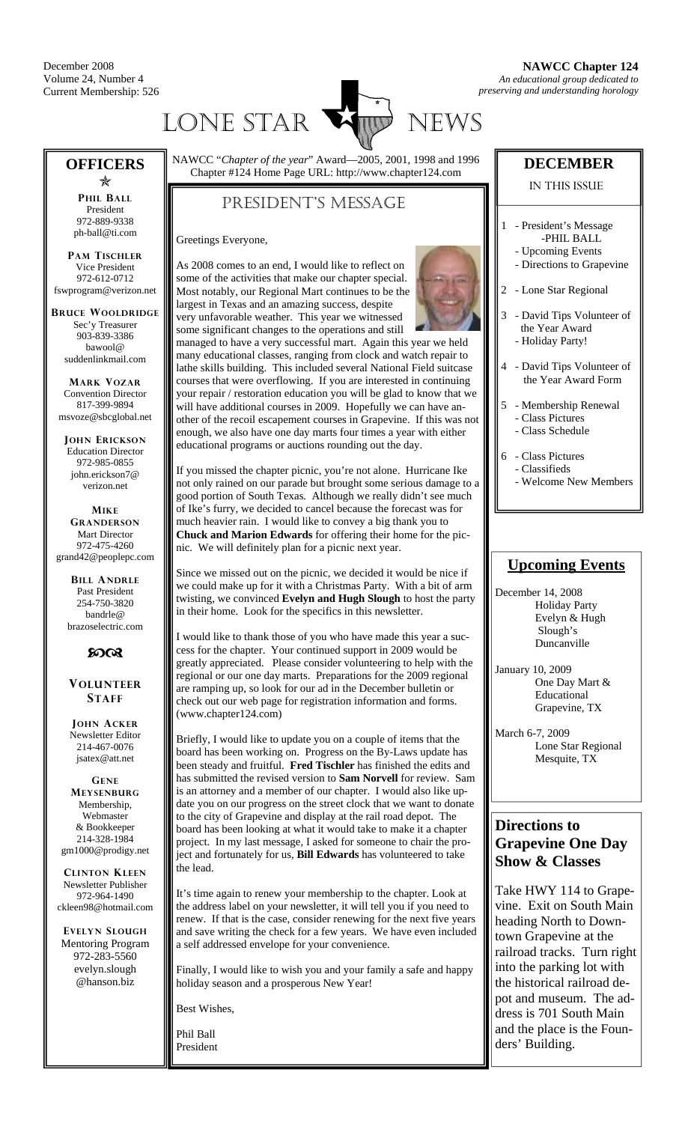December 2008 Volume 24, Number 4 Current Membership: 526



### **OFFICERS**

Õ **PHIL BALL** President 972-889-9338 ph-ball@ti.com

**PAM TISCHLER** Vice President 972-612-0712 fswprogram@verizon.net

**BRUCE WOOLDRIDGE** Sec'y Treasurer 903-839-3386 bawool@ suddenlinkmail.com

**MARK VOZAR** Convention Director 817-399-9894 msvoze@sbcglobal.net

**JOHN ERICKSON** Education Director 972-985-0855 john.erickson7@ verizon.net

**MIKE GRANDERSON** Mart Director 972-475-4260 grand42@peoplepc.com

> **BILL ANDRLE** Past President 254-750-3820 bandrle@ brazoselectric.com

#### $60<sup>o</sup>$

**VOLUNTEER STAFF**

**JOHN ACKER** Newsletter Editor 214-467-0076 jsatex@att.net

**GENE MEYSENBURG** Membership, Webmaster & Bookkeeper 214-328-1984 gm1000@prodigy.net

**CLINTON KLEEN** Newsletter Publisher 972-964-1490 ckleen98@hotmail.com

**EVELYN SLOUGH** Mentoring Program 972-283-5560 evelyn.slough @hanson.biz

NAWCC "*Chapter of the year*" Award—2005, 2001, 1998 and 1996 Chapter #124 Home Page URL: http://www.chapter124.com

### PRESIDENT'S MESSAGE

Greetings Everyone,

As 2008 comes to an end, I would like to reflect on some of the activities that make our chapter special. Most notably, our Regional Mart continues to be the largest in Texas and an amazing success, despite very unfavorable weather. This year we witnessed some significant changes to the operations and still



managed to have a very successful mart. Again this year we held many educational classes, ranging from clock and watch repair to lathe skills building. This included several National Field suitcase courses that were overflowing. If you are interested in continuing your repair / restoration education you will be glad to know that we will have additional courses in 2009. Hopefully we can have another of the recoil escapement courses in Grapevine. If this was not enough, we also have one day marts four times a year with either educational programs or auctions rounding out the day.

If you missed the chapter picnic, you're not alone. Hurricane Ike not only rained on our parade but brought some serious damage to a good portion of South Texas. Although we really didn't see much of Ike's furry, we decided to cancel because the forecast was for much heavier rain. I would like to convey a big thank you to **Chuck and Marion Edwards** for offering their home for the picnic. We will definitely plan for a picnic next year.

Since we missed out on the picnic, we decided it would be nice if we could make up for it with a Christmas Party. With a bit of arm twisting, we convinced **Evelyn and Hugh Slough** to host the party in their home. Look for the specifics in this newsletter.

I would like to thank those of you who have made this year a success for the chapter. Your continued support in 2009 would be greatly appreciated. Please consider volunteering to help with the regional or our one day marts. Preparations for the 2009 regional are ramping up, so look for our ad in the December bulletin or check out our web page for registration information and forms. (www.chapter124.com)

Briefly, I would like to update you on a couple of items that the board has been working on. Progress on the By-Laws update has been steady and fruitful. **Fred Tischler** has finished the edits and has submitted the revised version to **Sam Norvell** for review. Sam is an attorney and a member of our chapter. I would also like update you on our progress on the street clock that we want to donate to the city of Grapevine and display at the rail road depot. The board has been looking at what it would take to make it a chapter project. In my last message, I asked for someone to chair the project and fortunately for us, **Bill Edwards** has volunteered to take the lead.

It's time again to renew your membership to the chapter. Look at the address label on your newsletter, it will tell you if you need to renew. If that is the case, consider renewing for the next five years and save writing the check for a few years. We have even included a self addressed envelope for your convenience.

Finally, I would like to wish you and your family a safe and happy holiday season and a prosperous New Year!

Best Wishes,

Phil Ball President

#### **DECEMBER**

#### IN THIS ISSUE

- 1 President's Message -PHIL BALL
	- Upcoming Events - Directions to Grapevine
- 2 Lone Star Regional
- 3 David Tips Volunteer of the Year Award - Holiday Party!
- 4 David Tips Volunteer of the Year Award Form
- 5 Membership Renewal - Class Pictures
	- Class Schedule
- 6 Class Pictures - Classifieds
	- Welcome New Members

#### **Upcoming Events**

December 14, 2008 Holiday Party Evelyn & Hugh Slough's Duncanville

January 10, 2009 One Day Mart & Educational Grapevine, TX

March 6-7, 2009 Lone Star Regional Mesquite, TX

#### **Directions to Grapevine One Day Show & Classes**

Take HWY 114 to Grapevine. Exit on South Main heading North to Downtown Grapevine at the railroad tracks. Turn right into the parking lot with the historical railroad depot and museum. The address is 701 South Main and the place is the Founders' Building.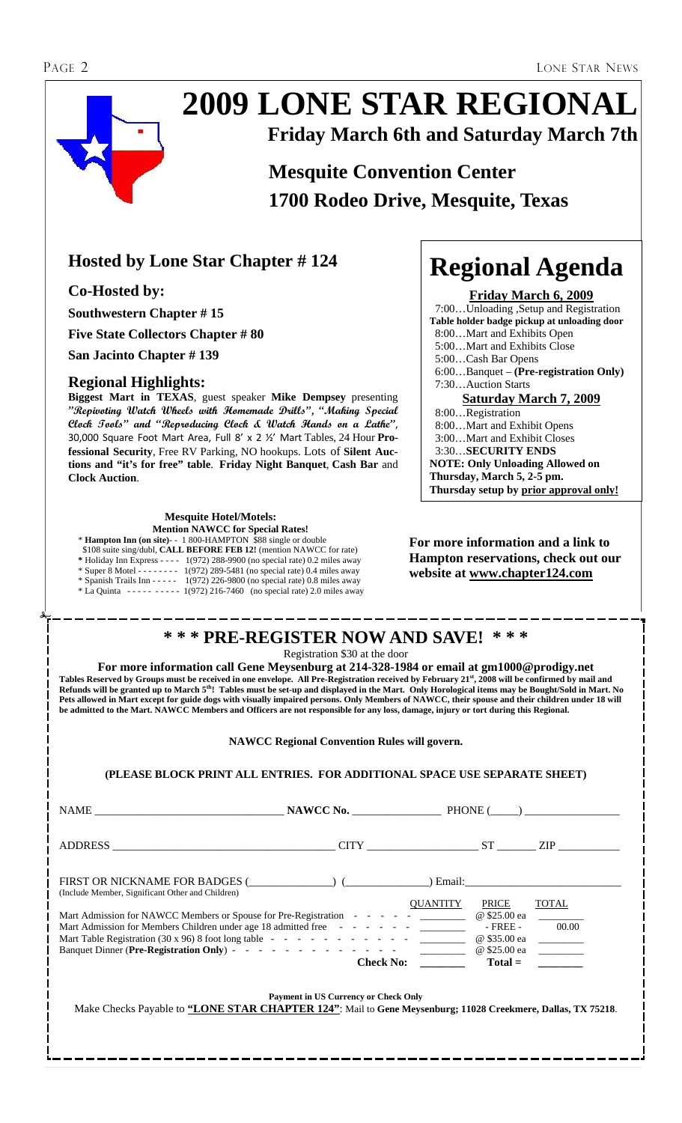# **2009 LONE STAR REGIONAL Friday March 6th and Saturday March 7th**

# **Mesquite Convention Center 1700 Rodeo Drive, Mesquite, Texas**

# **Hosted by Lone Star Chapter # 124**

**Co-Hosted by:** 

**Southwestern Chapter # 15** 

**Five State Collectors Chapter # 80** 

**San Jacinto Chapter # 139** 

#### **Regional Highlights:**

**Biggest Mart in TEXAS**, guest speaker **Mike Dempsey** presenting **"Repivoting Watch Wheels with Homemade Drills", "Making Special Clock Tools" and "Reproducing Clock & Watch Hands on a Lathe"**, 30,000 Square Foot Mart Area, Full 8' x 2 ½' Mart Tables, 24 Hour **Professional Security**, Free RV Parking, NO hookups. Lots of **Silent Auctions and "it's for free" table**. **Friday Night Banquet**, **Cash Bar** and **Clock Auction**.

### **Mesquite Hotel/Motels:**

**Mention NAWCC for Special Rates!** 

\* **Hampton Inn (on site)**- - 1 800-HAMPTON \$88 single or double \$108 suite sing/dubl, **CALL BEFORE FEB 12!** (mention NAWCC for rate) **\*** Holiday Inn Express - - - - 1(972) 288-9900 (no special rate) 0.2 miles away

| $\cdot$ Super 8 Motel - - - - - - - - | $1(972)$ 289-5481 (no special rate) 0.4 miles away       |
|---------------------------------------|----------------------------------------------------------|
| $*$ Spanish Trails Inn - - - - -      | $1(972)$ 226-9800 (no special rate) 0.8 miles away       |
| * La Ouinta                           | $------1(972)$ 216-7460 (no special rate) 2.0 miles away |

# **Regional Agenda**

**Friday March 6, 2009** 7:00…Unloading ,Setup and Registration **Table holder badge pickup at unloading door** 8:00…Mart and Exhibits Open 5:00…Mart and Exhibits Close 5:00…Cash Bar Opens 6:00…Banquet – **(Pre-registration Only)** 7:30…Auction Starts **Saturday March 7, 2009** 8:00…Registration 8:00…Mart and Exhibit Opens 3:00…Mart and Exhibit Closes 3:30…**SECURITY ENDS NOTE: Only Unloading Allowed on Thursday, March 5, 2-5 pm.** 

#### **For more information and a link to Hampton reservations, check out our website at www.chapter124.com**

**Thursday setup by prior approval only!** 

#### **\* \* \* PRE-REGISTER NOW AND SAVE! \* \* \***

Registration \$30 at the door

**For more information call Gene Meysenburg at 214-328-1984 or email at gm1000@prodigy.net Tables Reserved by Groups must be received in one envelope. All Pre-Registration received by February 21st, 2008 will be confirmed by mail and Refunds will be granted up to March 5th! Tables must be set-up and displayed in the Mart. Only Horological items may be Bought/Sold in Mart. No Pets allowed in Mart except for guide dogs with visually impaired persons. Only Members of NAWCC, their spouse and their children under 18 will be admitted to the Mart. NAWCC Members and Officers are not responsible for any loss, damage, injury or tort during this Regional.** 

**NAWCC Regional Convention Rules will govern.** 

#### **(PLEASE BLOCK PRINT ALL ENTRIES. FOR ADDITIONAL SPACE USE SEPARATE SHEET)**

|                                                                                                                                                                     | NAWCC No. BHONE (b)                         |                                                      |                       |
|---------------------------------------------------------------------------------------------------------------------------------------------------------------------|---------------------------------------------|------------------------------------------------------|-----------------------|
|                                                                                                                                                                     |                                             |                                                      |                       |
| FIRST OR NICKNAME FOR BADGES ( ) ( ) Email:<br>(Include Member, Significant Other and Children)                                                                     |                                             |                                                      |                       |
| Mart Admission for NAWCC Members or Spouse for Pre-Registration - - - - - - _______<br>Mart Admission for Members Children under age 18 admitted free - - - - - - - |                                             | <b>OUANTITY</b><br>PRICE<br>@ \$25.00 ea<br>- FREE - | <b>TOTAL</b><br>00.00 |
|                                                                                                                                                                     | Check No:                                   | @ \$35.00 ea                                         | $Total =$             |
| Make Checks Payable to "LONE STAR CHAPTER 124": Mail to Gene Meysenburg; 11028 Creekmere, Dallas, TX 75218.                                                         | <b>Payment in US Currency or Check Only</b> |                                                      |                       |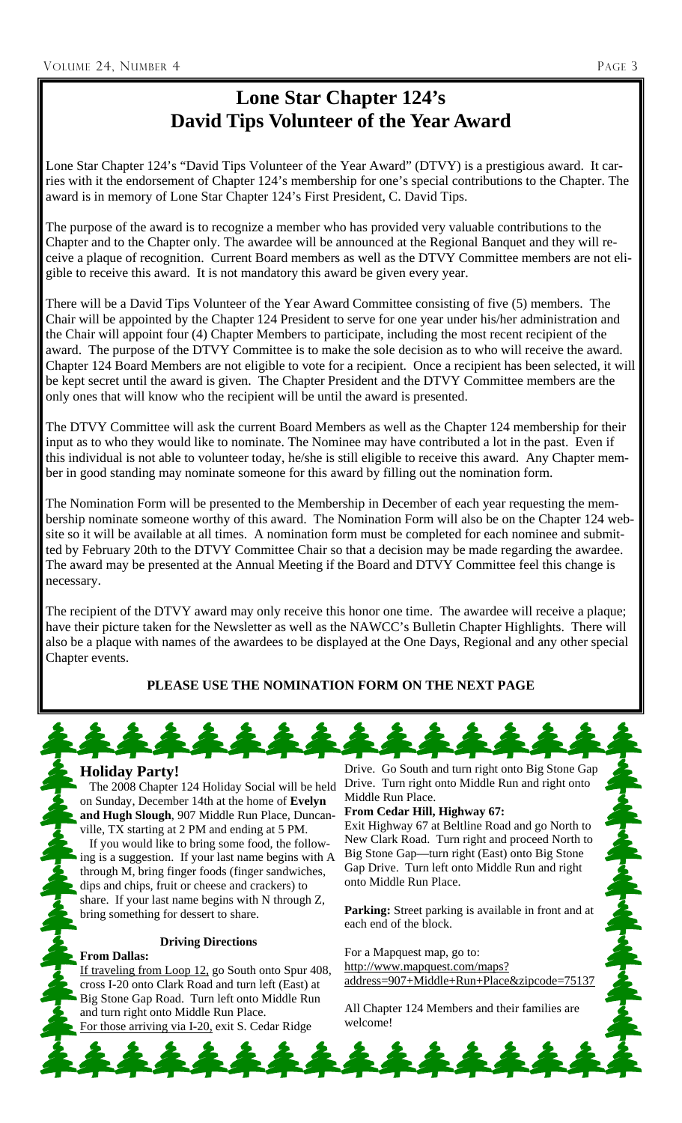# **Lone Star Chapter 124's David Tips Volunteer of the Year Award**

Lone Star Chapter 124's "David Tips Volunteer of the Year Award" (DTVY) is a prestigious award. It carries with it the endorsement of Chapter 124's membership for one's special contributions to the Chapter. The award is in memory of Lone Star Chapter 124's First President, C. David Tips.

The purpose of the award is to recognize a member who has provided very valuable contributions to the Chapter and to the Chapter only. The awardee will be announced at the Regional Banquet and they will receive a plaque of recognition. Current Board members as well as the DTVY Committee members are not eligible to receive this award. It is not mandatory this award be given every year.

There will be a David Tips Volunteer of the Year Award Committee consisting of five (5) members. The Chair will be appointed by the Chapter 124 President to serve for one year under his/her administration and the Chair will appoint four (4) Chapter Members to participate, including the most recent recipient of the award. The purpose of the DTVY Committee is to make the sole decision as to who will receive the award. Chapter 124 Board Members are not eligible to vote for a recipient. Once a recipient has been selected, it will be kept secret until the award is given. The Chapter President and the DTVY Committee members are the only ones that will know who the recipient will be until the award is presented.

The DTVY Committee will ask the current Board Members as well as the Chapter 124 membership for their input as to who they would like to nominate. The Nominee may have contributed a lot in the past. Even if this individual is not able to volunteer today, he/she is still eligible to receive this award. Any Chapter member in good standing may nominate someone for this award by filling out the nomination form.

The Nomination Form will be presented to the Membership in December of each year requesting the membership nominate someone worthy of this award. The Nomination Form will also be on the Chapter 124 website so it will be available at all times. A nomination form must be completed for each nominee and submitted by February 20th to the DTVY Committee Chair so that a decision may be made regarding the awardee. The award may be presented at the Annual Meeting if the Board and DTVY Committee feel this change is necessary.

The recipient of the DTVY award may only receive this honor one time. The awardee will receive a plaque; have their picture taken for the Newsletter as well as the NAWCC's Bulletin Chapter Highlights. There will also be a plaque with names of the awardees to be displayed at the One Days, Regional and any other special Chapter events.

#### **PLEASE USE THE NOMINATION FORM ON THE NEXT PAGE**



#### **Holiday Party!**

 The 2008 Chapter 124 Holiday Social will be held on Sunday, December 14th at the home of **Evelyn and Hugh Slough**, 907 Middle Run Place, Duncanville, TX starting at 2 PM and ending at 5 PM. If you would like to bring some food, the following is a suggestion. If your last name begins with A through M, bring finger foods (finger sandwiches, dips and chips, fruit or cheese and crackers) to share. If your last name begins with N through Z, bring something for dessert to share.

#### **Driving Directions**

**From Dallas:** If traveling from Loop 12, go South onto Spur 408, cross I-20 onto Clark Road and turn left (East) at Big Stone Gap Road. Turn left onto Middle Run and turn right onto Middle Run Place. For those arriving via I-20, exit S. Cedar Ridge

Drive. Go South and turn right onto Big Stone Gap Drive. Turn right onto Middle Run and right onto Middle Run Place.

#### **From Cedar Hill, Highway 67:**

Exit Highway 67 at Beltline Road and go North to New Clark Road. Turn right and proceed North to Big Stone Gap—turn right (East) onto Big Stone Gap Drive. Turn left onto Middle Run and right onto Middle Run Place.

**Parking:** Street parking is available in front and at each end of the block.

For a Mapquest map, go to: http://www.mapquest.com/maps? address=907+Middle+Run+Place&zipcode=75137

All Chapter 124 Members and their families are welcome!

144444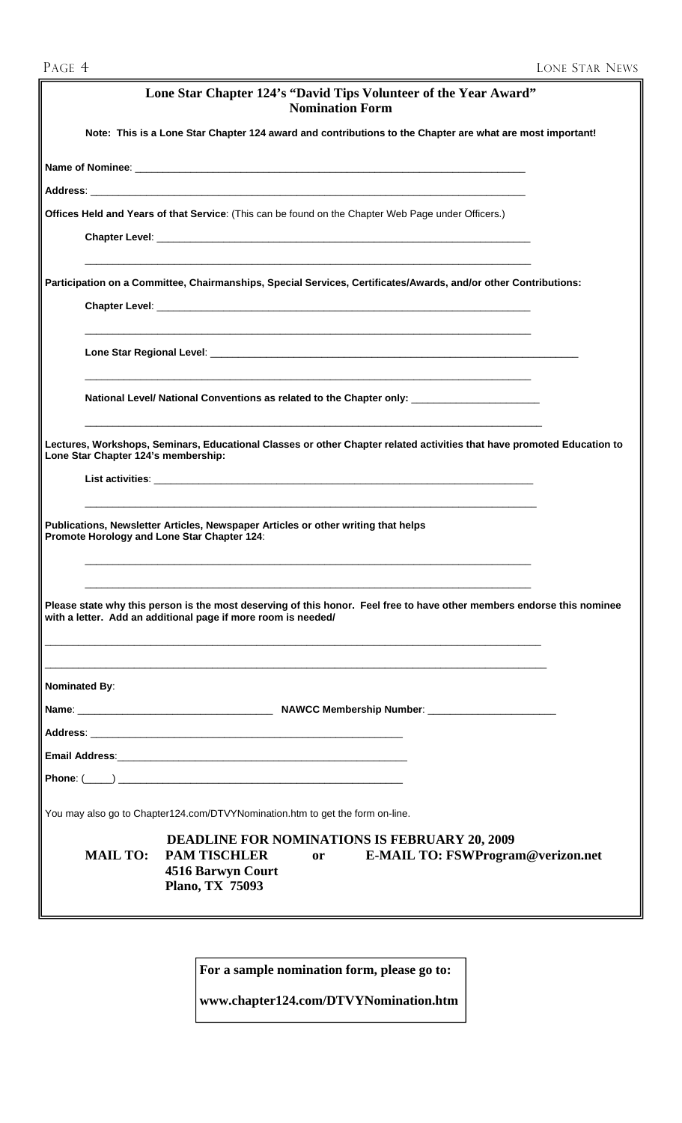|                                             | Lone Star Chapter 124's "David Tips Volunteer of the Year Award"<br><b>Nomination Form</b>                                                                                              |
|---------------------------------------------|-----------------------------------------------------------------------------------------------------------------------------------------------------------------------------------------|
|                                             | Note: This is a Lone Star Chapter 124 award and contributions to the Chapter are what are most important!                                                                               |
|                                             |                                                                                                                                                                                         |
|                                             |                                                                                                                                                                                         |
|                                             | Offices Held and Years of that Service: (This can be found on the Chapter Web Page under Officers.)                                                                                     |
|                                             | Chapter Level: <b>Example 2018 Chapter Level Chapter 2018</b>                                                                                                                           |
|                                             | Participation on a Committee, Chairmanships, Special Services, Certificates/Awards, and/or other Contributions:                                                                         |
|                                             |                                                                                                                                                                                         |
|                                             | National Level/ National Conventions as related to the Chapter only: __________________                                                                                                 |
| Lone Star Chapter 124's membership:         | Lectures, Workshops, Seminars, Educational Classes or other Chapter related activities that have promoted Education to                                                                  |
| Promote Horology and Lone Star Chapter 124: | Publications, Newsletter Articles, Newspaper Articles or other writing that helps                                                                                                       |
|                                             | Please state why this person is the most deserving of this honor. Feel free to have other members endorse this nominee<br>with a letter. Add an additional page if more room is needed/ |
| <b>Nominated By:</b>                        |                                                                                                                                                                                         |
|                                             |                                                                                                                                                                                         |
|                                             |                                                                                                                                                                                         |
|                                             |                                                                                                                                                                                         |
|                                             |                                                                                                                                                                                         |
|                                             | You may also go to Chapter124.com/DTVYNomination.htm to get the form on-line.                                                                                                           |
| <b>MAIL TO:</b>                             | <b>DEADLINE FOR NOMINATIONS IS FEBRUARY 20, 2009</b><br><b>PAM TISCHLER</b><br>E-MAIL TO: FSWProgram@verizon.net<br><sub>or</sub><br><b>4516 Barwyn Court</b><br><b>Plano, TX 75093</b> |
|                                             |                                                                                                                                                                                         |

**For a sample nomination form, please go to:** 

**www.chapter124.com/DTVYNomination.htm**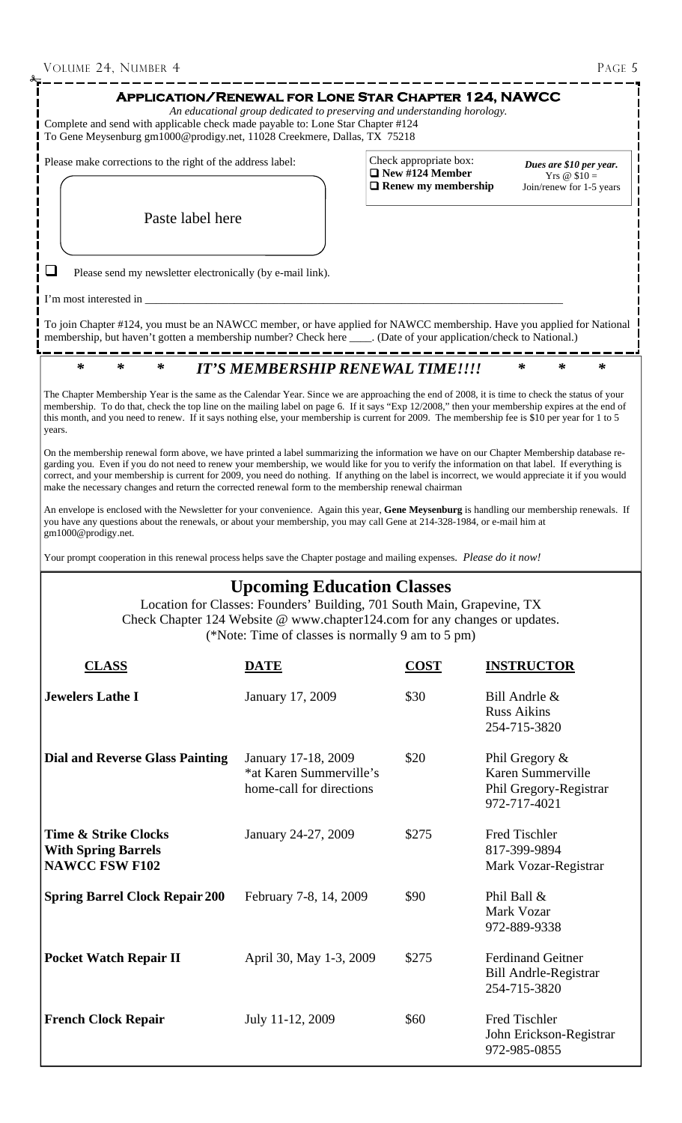